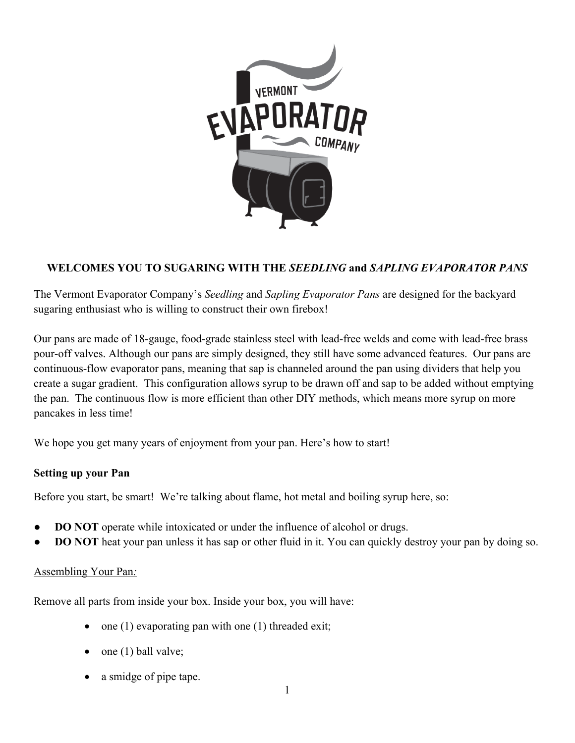

# **WELCOMES YOU TO SUGARING WITH THE** *SEEDLING* **and** *SAPLING EVAPORATOR PANS*

The Vermont Evaporator Company's *Seedling* and *Sapling Evaporator Pans* are designed for the backyard sugaring enthusiast who is willing to construct their own firebox!

Our pans are made of 18-gauge, food-grade stainless steel with lead-free welds and come with lead-free brass pour-off valves. Although our pans are simply designed, they still have some advanced features. Our pans are continuous-flow evaporator pans, meaning that sap is channeled around the pan using dividers that help you create a sugar gradient. This configuration allows syrup to be drawn off and sap to be added without emptying the pan. The continuous flow is more efficient than other DIY methods, which means more syrup on more pancakes in less time!

We hope you get many years of enjoyment from your pan. Here's how to start!

## **Setting up your Pan**

Before you start, be smart! We're talking about flame, hot metal and boiling syrup here, so:

- **DO NOT** operate while intoxicated or under the influence of alcohol or drugs.
- **DO NOT** heat your pan unless it has sap or other fluid in it. You can quickly destroy your pan by doing so.

## Assembling Your Pan*:*

Remove all parts from inside your box. Inside your box, you will have:

- one  $(1)$  evaporating pan with one  $(1)$  threaded exit;
- one (1) ball valve;
- a smidge of pipe tape.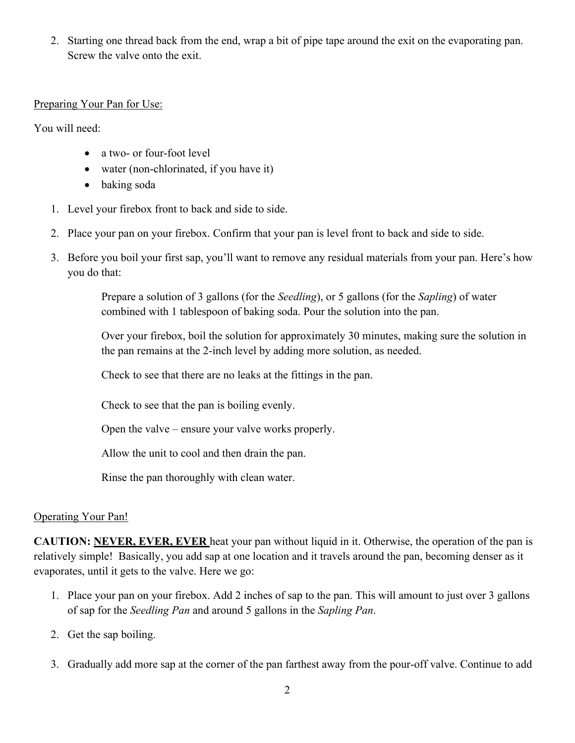2. Starting one thread back from the end, wrap a bit of pipe tape around the exit on the evaporating pan. Screw the valve onto the exit.

### Preparing Your Pan for Use:

You will need:

- a two- or four-foot level
- water (non-chlorinated, if you have it)
- baking soda
- 1. Level your firebox front to back and side to side.
- 2. Place your pan on your firebox. Confirm that your pan is level front to back and side to side.
- 3. Before you boil your first sap, you'll want to remove any residual materials from your pan. Here's how you do that:

Prepare a solution of 3 gallons (for the *Seedling*), or 5 gallons (for the *Sapling*) of water combined with 1 tablespoon of baking soda. Pour the solution into the pan.

Over your firebox, boil the solution for approximately 30 minutes, making sure the solution in the pan remains at the 2-inch level by adding more solution, as needed.

Check to see that there are no leaks at the fittings in the pan.

Check to see that the pan is boiling evenly.

Open the valve – ensure your valve works properly.

Allow the unit to cool and then drain the pan.

Rinse the pan thoroughly with clean water.

## Operating Your Pan!

**CAUTION: NEVER, EVER, EVER** heat your pan without liquid in it. Otherwise, the operation of the pan is relatively simple! Basically, you add sap at one location and it travels around the pan, becoming denser as it evaporates, until it gets to the valve. Here we go:

- 1. Place your pan on your firebox. Add 2 inches of sap to the pan. This will amount to just over 3 gallons of sap for the *Seedling Pan* and around 5 gallons in the *Sapling Pan*.
- 2. Get the sap boiling.
- 3. Gradually add more sap at the corner of the pan farthest away from the pour-off valve. Continue to add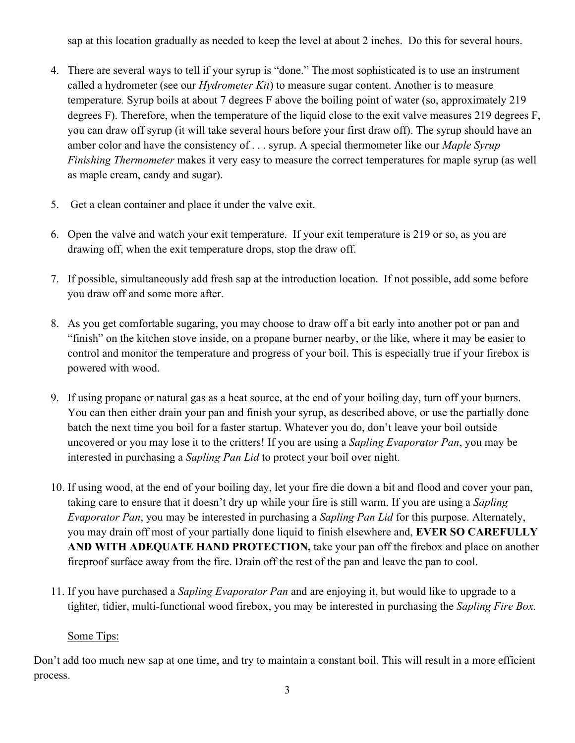sap at this location gradually as needed to keep the level at about 2 inches. Do this for several hours.

- 4. There are several ways to tell if your syrup is "done." The most sophisticated is to use an instrument called a hydrometer (see our *Hydrometer Kit*) to measure sugar content. Another is to measure temperature*.* Syrup boils at about 7 degrees F above the boiling point of water (so, approximately 219 degrees F). Therefore, when the temperature of the liquid close to the exit valve measures 219 degrees F, you can draw off syrup (it will take several hours before your first draw off). The syrup should have an amber color and have the consistency of . . . syrup. A special thermometer like our *Maple Syrup Finishing Thermometer* makes it very easy to measure the correct temperatures for maple syrup (as well as maple cream, candy and sugar).
- 5. Get a clean container and place it under the valve exit.
- 6. Open the valve and watch your exit temperature. If your exit temperature is 219 or so, as you are drawing off, when the exit temperature drops, stop the draw off.
- 7. If possible, simultaneously add fresh sap at the introduction location. If not possible, add some before you draw off and some more after.
- 8. As you get comfortable sugaring, you may choose to draw off a bit early into another pot or pan and "finish" on the kitchen stove inside, on a propane burner nearby, or the like, where it may be easier to control and monitor the temperature and progress of your boil. This is especially true if your firebox is powered with wood.
- 9. If using propane or natural gas as a heat source, at the end of your boiling day, turn off your burners. You can then either drain your pan and finish your syrup, as described above, or use the partially done batch the next time you boil for a faster startup. Whatever you do, don't leave your boil outside uncovered or you may lose it to the critters! If you are using a *Sapling Evaporator Pan*, you may be interested in purchasing a *Sapling Pan Lid* to protect your boil over night.
- 10. If using wood, at the end of your boiling day, let your fire die down a bit and flood and cover your pan, taking care to ensure that it doesn't dry up while your fire is still warm. If you are using a *Sapling Evaporator Pan*, you may be interested in purchasing a *Sapling Pan Lid* for this purpose. Alternately, you may drain off most of your partially done liquid to finish elsewhere and, **EVER SO CAREFULLY AND WITH ADEQUATE HAND PROTECTION,** take your pan off the firebox and place on another fireproof surface away from the fire. Drain off the rest of the pan and leave the pan to cool.
- 11. If you have purchased a *Sapling Evaporator Pan* and are enjoying it, but would like to upgrade to a tighter, tidier, multi-functional wood firebox, you may be interested in purchasing the *Sapling Fire Box.*

## Some Tips:

Don't add too much new sap at one time, and try to maintain a constant boil. This will result in a more efficient process.